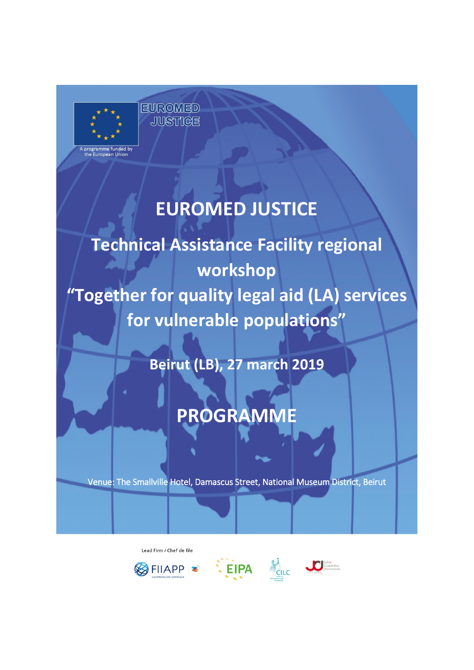

l

## **EUROMED JUSTICE**

# **Technical Assistance Facility regional workshop "Together for quality legal aid (LA) services for vulnerable populations"**

**Beirut (LB), 27 march 2019**

## **PROGRAMME**

Venue: The Smallville Hotel, Damascus Street, National Museum District, Beirut

I

Lead Firm / Chef de file





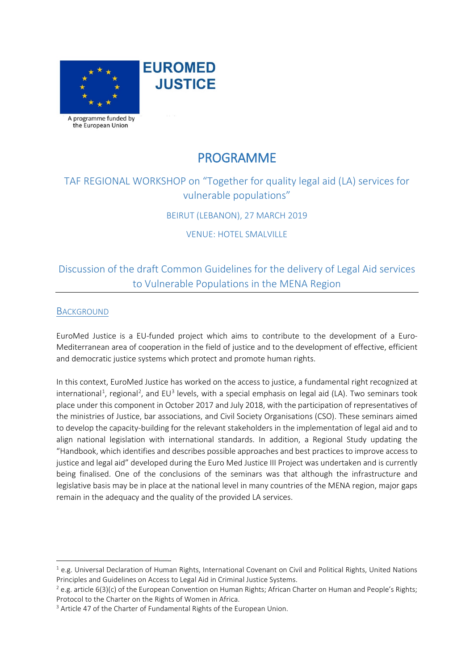

### PROGRAMME

TAF REGIONAL WORKSHOP on "Together for quality legal aid (LA) services for vulnerable populations"

BEIRUT (LEBANON), 27 MARCH 2019

VENUE: HOTEL SMALVILLE

### Discussion of the draft Common Guidelines for the delivery of Legal Aid services to Vulnerable Populations in the MENA Region

### **BACKGROUND**

 $\overline{a}$ 

EuroMed Justice is a EU-funded project which aims to contribute to the development of a Euro-Mediterranean area of cooperation in the field of justice and to the development of effective, efficient and democratic justice systems which protect and promote human rights.

In this context, EuroMed Justice has worked on the access to justice, a fundamental right recognized at international<sup>[1](#page-2-0)</sup>, regional<sup>[2](#page-2-1)</sup>, and EU<sup>[3](#page-2-2)</sup> levels, with a special emphasis on legal aid (LA). Two seminars took place under this component in October 2017 and July 2018, with the participation of representatives of the ministries of Justice, bar associations, and Civil Society Organisations (CSO). These seminars aimed to develop the capacity-building for the relevant stakeholders in the implementation of legal aid and to align national legislation with international standards. In addition, a Regional Study updating the "Handbook, which identifies and describes possible approaches and best practices to improve access to justice and legal aid" developed during the Euro Med Justice III Project was undertaken and is currently being finalised. One of the conclusions of the seminars was that although the infrastructure and legislative basis may be in place at the national level in many countries of the MENA region, major gaps remain in the adequacy and the quality of the provided LA services.

<span id="page-2-0"></span><sup>&</sup>lt;sup>1</sup> e.g. Universal Declaration of Human Rights, International Covenant on Civil and Political Rights, United Nations Principles and Guidelines on Access to Legal Aid in Criminal Justice Systems.

<span id="page-2-1"></span><sup>&</sup>lt;sup>2</sup> e.g. article 6(3)(c) of the European Convention on Human Rights; African Charter on Human and People's Rights; Protocol to the Charter on the Rights of Women in Africa.

<span id="page-2-2"></span><sup>&</sup>lt;sup>3</sup> Article 47 of the Charter of Fundamental Rights of the European Union.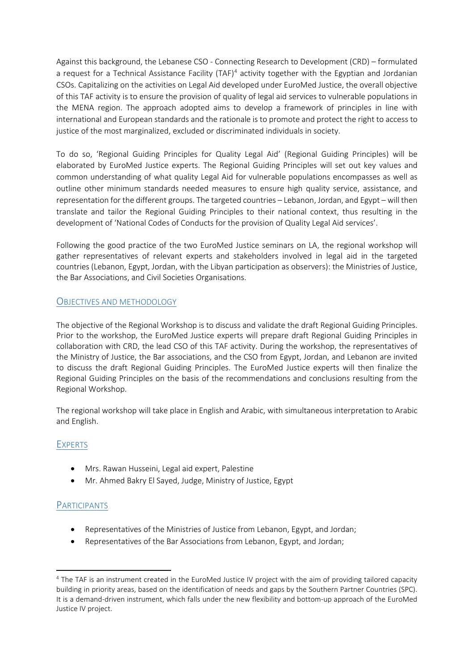Against this background, the Lebanese CSO - Connecting Research to Development (CRD) – formulated a request for a Technical Assistance Facility (TAF[\)4](#page-3-0) activity together with the Egyptian and Jordanian CSOs. Capitalizing on the activities on Legal Aid developed under EuroMed Justice, the overall objective of this TAF activity is to ensure the provision of quality of legal aid services to vulnerable populations in the MENA region. The approach adopted aims to develop a framework of principles in line with international and European standards and the rationale is to promote and protect the right to access to justice of the most marginalized, excluded or discriminated individuals in society.

To do so, 'Regional Guiding Principles for Quality Legal Aid' (Regional Guiding Principles) will be elaborated by EuroMed Justice experts. The Regional Guiding Principles will set out key values and common understanding of what quality Legal Aid for vulnerable populations encompasses as well as outline other minimum standards needed measures to ensure high quality service, assistance, and representation for the different groups. The targeted countries – Lebanon, Jordan, and Egypt – will then translate and tailor the Regional Guiding Principles to their national context, thus resulting in the development of 'National Codes of Conducts for the provision of Quality Legal Aid services'.

Following the good practice of the two EuroMed Justice seminars on LA, the regional workshop will gather representatives of relevant experts and stakeholders involved in legal aid in the targeted countries (Lebanon, Egypt, Jordan, with the Libyan participation as observers): the Ministries of Justice, the Bar Associations, and Civil Societies Organisations.

### OBJECTIVES AND METHODOLOGY

The objective of the Regional Workshop is to discuss and validate the draft Regional Guiding Principles. Prior to the workshop, the EuroMed Justice experts will prepare draft Regional Guiding Principles in collaboration with CRD, the lead CSO of this TAF activity. During the workshop, the representatives of the Ministry of Justice, the Bar associations, and the CSO from Egypt, Jordan, and Lebanon are invited to discuss the draft Regional Guiding Principles. The EuroMed Justice experts will then finalize the Regional Guiding Principles on the basis of the recommendations and conclusions resulting from the Regional Workshop.

The regional workshop will take place in English and Arabic, with simultaneous interpretation to Arabic and English.

### **EXPERTS**

- Mrs. Rawan Husseini, Legal aid expert, Palestine
- Mr. Ahmed Bakry El Sayed, Judge, Ministry of Justice, Egypt

### PARTICIPANTS

 $\overline{a}$ 

- Representatives of the Ministries of Justice from Lebanon, Egypt, and Jordan;
- Representatives of the Bar Associations from Lebanon, Egypt, and Jordan;

<span id="page-3-0"></span><sup>4</sup> The TAF is an instrument created in the EuroMed Justice IV project with the aim of providing tailored capacity building in priority areas, based on the identification of needs and gaps by the Southern Partner Countries (SPC). It is a demand-driven instrument, which falls under the new flexibility and bottom-up approach of the EuroMed Justice IV project.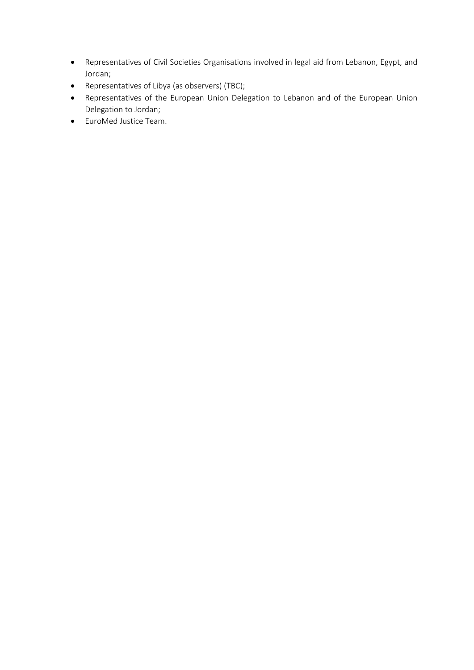- Representatives of Civil Societies Organisations involved in legal aid from Lebanon, Egypt, and Jordan;
- Representatives of Libya (as observers) (TBC);
- Representatives of the European Union Delegation to Lebanon and of the European Union Delegation to Jordan;
- EuroMed Justice Team.